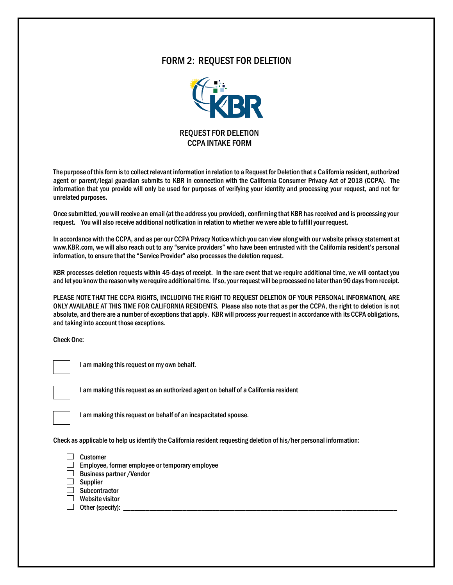## FORM 2: REQUEST FOR DELETION



The purpose of this form is to collect relevant information in relation to a Request for Deletion that a California resident, authorized agent or parent/legal guardian submits to KBR in connection with the California Consumer Privacy Act of 2018 (CCPA). The information that you provide will only be used for purposes of verifying your identity and processing your request, and not for unrelated purposes.

Once submitted, you will receive an email (at the address you provided), confirming that KBR has received and is processing your request. You will also receive additional notification in relation to whether we were able to fulfill your request.

In accordance with the CCPA, and as per our CCPA Privacy Notice which you can view along with our website privacy statement at www.KBR.com, we will also reach out to any "service providers" who have been entrusted with the California resident's personal information, to ensure that the "Service Provider" also processes the deletion request.

KBR processes deletion requests within 45-days of receipt. In the rare event that we require additional time, we will contact you and let you know the reason why we require additional time. If so, your request will be processed no later than 90 days from receipt.

PLEASE NOTE THAT THE CCPA RIGHTS, INCLUDING THE RIGHT TO REQUEST DELETION OF YOUR PERSONAL INFORMATION, ARE ONLY AVAILABLE AT THIS TIME FOR CALIFORNIA RESIDENTS. Please also note that as per the CCPA, the right to deletion is not absolute, and there are a number of exceptions that apply. KBR will process your request in accordance with its CCPA obligations, and taking into account those exceptions.

Check One:



I am making this request on my own behalf.



I am making this request as an authorized agent on behalf of a California resident



I am making this request on behalf of an incapacitated spouse.

Check as applicable to help us identify the California resident requesting deletion of his/her personal information:



- $\Box$  Employee, former employee or temporary employee
- $\Box$  Business partner / Vendor
- $\Box$  Supplier
- $\Box$  Subcontractor
- **Website visitor**
- $\Box$  Other (specify):  $\Box$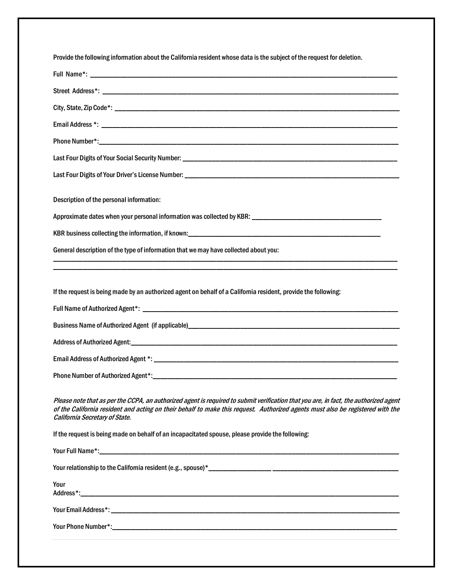| Provide the following information about the California resident whose data is the subject of the request for deletion.                                                                                                                                                                                   |
|----------------------------------------------------------------------------------------------------------------------------------------------------------------------------------------------------------------------------------------------------------------------------------------------------------|
|                                                                                                                                                                                                                                                                                                          |
|                                                                                                                                                                                                                                                                                                          |
|                                                                                                                                                                                                                                                                                                          |
|                                                                                                                                                                                                                                                                                                          |
|                                                                                                                                                                                                                                                                                                          |
|                                                                                                                                                                                                                                                                                                          |
|                                                                                                                                                                                                                                                                                                          |
|                                                                                                                                                                                                                                                                                                          |
| Description of the personal information:                                                                                                                                                                                                                                                                 |
|                                                                                                                                                                                                                                                                                                          |
|                                                                                                                                                                                                                                                                                                          |
| General description of the type of information that we may have collected about you:                                                                                                                                                                                                                     |
|                                                                                                                                                                                                                                                                                                          |
| If the request is being made by an authorized agent on behalf of a California resident, provide the following:                                                                                                                                                                                           |
|                                                                                                                                                                                                                                                                                                          |
|                                                                                                                                                                                                                                                                                                          |
|                                                                                                                                                                                                                                                                                                          |
|                                                                                                                                                                                                                                                                                                          |
|                                                                                                                                                                                                                                                                                                          |
|                                                                                                                                                                                                                                                                                                          |
| Please note that as per the CCPA, an authorized agent is required to submit verification that you are, in fact, the authorized agent<br>of the California resident and acting on their behalf to make this request. Authorized agents must also be registered with the<br>California Secretary of State. |
| If the request is being made on behalf of an incapacitated spouse, please provide the following:                                                                                                                                                                                                         |
|                                                                                                                                                                                                                                                                                                          |
|                                                                                                                                                                                                                                                                                                          |
| Your                                                                                                                                                                                                                                                                                                     |
|                                                                                                                                                                                                                                                                                                          |
|                                                                                                                                                                                                                                                                                                          |
|                                                                                                                                                                                                                                                                                                          |